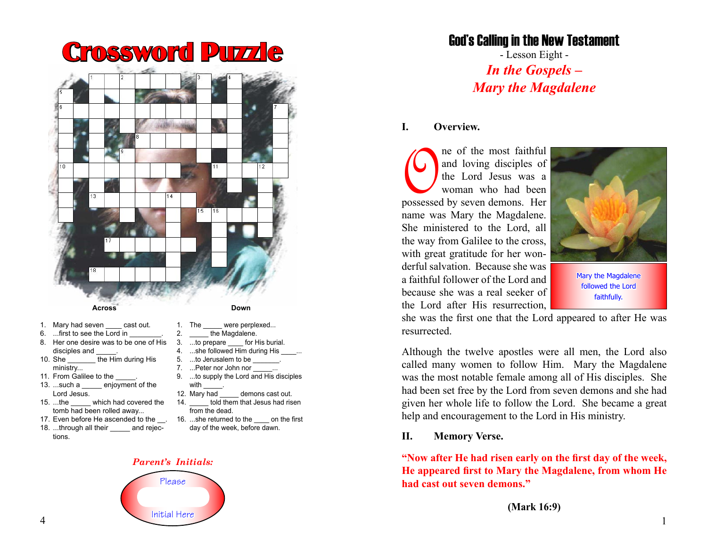# $10$ 15 **Across**

Crossword Puzzle

- 1. Mary had seven cast out.
- 6. ...first to see the Lord in
- 8. Her one desire was to be one of His disciples and
- 10. She \_\_\_\_\_\_\_ the Him during His ministry...
- 11. From Galilee to the
- 13. ...such a \_\_\_\_\_ enjoyment of the Lord Jesus.<br>15. ...the
- which had covered the tomb had been rolled away...
- 17. Even before He ascended to the .
- 18. ...through all their and rejections.
- **Down**
- 1. The were perplexed...
- 2. **the Magdalene.**
- 3. ...to prepare for His burial.
- 4. ...she followed Him during His
- 5. ...to Jerusalem to be 7. ...Peter nor John nor
- 9. ...to supply the Lord and His disciples with
- 12. Mary had demons cast out.
- 14. **told them that Jesus had risen** from the dead.
- 16. ...she returned to the on the first day of the week, before dawn.

#### *Parent's Initials:*



# God's Calling in the New Testament

- Lesson Eight - *In the Gospels – Mary the Magdalene*

## **I. Overview.**

The of the most faithful<br>
and loving disciples of<br>
the Lord Jesus was a<br>
woman who had been<br>
possessed by seven demons. Her and loving disciples of the Lord Jesus was a woman who had been name was Mary the Magdalene. She ministered to the Lord, all the way from Galilee to the cross, with great gratitude for her wonderful salvation. Because she was a faithful follower of the Lord and because she was a real seeker of the Lord after His resurrection,



Mary the Magdalene followed the Lord faithfully.

she was the first one that the Lord appeared to after He was resurrected.

Although the twelve apostles were all men, the Lord also called many women to follow Him. Mary the Magdalene was the most notable female among all of His disciples. She had been set free by the Lord from seven demons and she had given her whole life to follow the Lord. She became a great help and encouragement to the Lord in His ministry.

#### **II. Memory Verse.**

**"Now after He had risen early on the first day of the week, He appeared first to Mary the Magdalene, from whom He had cast out seven demons."**

**(Mark 16:9)**